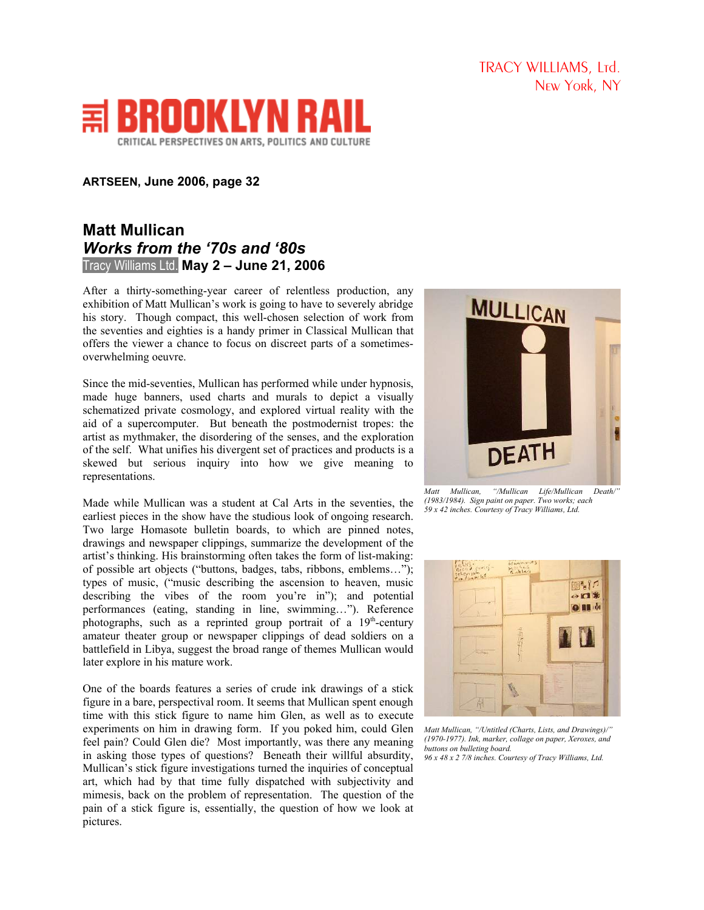TRACY WILLIAMS, Ltd. New York, NY



## **ARTSEEN, June 2006, page 32**

## **Matt Mullican** *Works from the '70s and '80s* Tracy Williams Ltd. **May 2 – June 21, 2006**

After a thirty-something-year career of relentless production, any exhibition of Matt Mullican's work is going to have to severely abridge his story. Though compact, this well-chosen selection of work from the seventies and eighties is a handy primer in Classical Mullican that offers the viewer a chance to focus on discreet parts of a sometimesoverwhelming oeuvre.

Since the mid-seventies, Mullican has performed while under hypnosis, made huge banners, used charts and murals to depict a visually schematized private cosmology, and explored virtual reality with the aid of a supercomputer. But beneath the postmodernist tropes: the artist as mythmaker, the disordering of the senses, and the exploration of the self. What unifies his divergent set of practices and products is a skewed but serious inquiry into how we give meaning to representations.

Made while Mullican was a student at Cal Arts in the seventies, the earliest pieces in the show have the studious look of ongoing research. Two large Homasote bulletin boards, to which are pinned notes, drawings and newspaper clippings, summarize the development of the artist's thinking. His brainstorming often takes the form of list-making: of possible art objects ("buttons, badges, tabs, ribbons, emblems…"); types of music, ("music describing the ascension to heaven, music describing the vibes of the room you're in"); and potential performances (eating, standing in line, swimming…"). Reference photographs, such as a reprinted group portrait of a  $19<sup>th</sup>$ -century amateur theater group or newspaper clippings of dead soldiers on a battlefield in Libya, suggest the broad range of themes Mullican would later explore in his mature work.

One of the boards features a series of crude ink drawings of a stick figure in a bare, perspectival room. It seems that Mullican spent enough time with this stick figure to name him Glen, as well as to execute experiments on him in drawing form. If you poked him, could Glen feel pain? Could Glen die? Most importantly, was there any meaning in asking those types of questions? Beneath their willful absurdity, Mullican's stick figure investigations turned the inquiries of conceptual art, which had by that time fully dispatched with subjectivity and mimesis, back on the problem of representation. The question of the pain of a stick figure is, essentially, the question of how we look at pictures.



*Matt Mullican, "/Mullican Life/Mullican Death/" (1983/1984). Sign paint on paper. Two works; each 59 x 42 inches. Courtesy of Tracy Williams, Ltd.*



*Matt Mullican, "/Untitled (Charts, Lists, and Drawings)/" (1970-1977). Ink, marker, collage on paper, Xeroxes, and buttons on bulleting board. 96 x 48 x 2 7/8 inches. Courtesy of Tracy Williams, Ltd.*